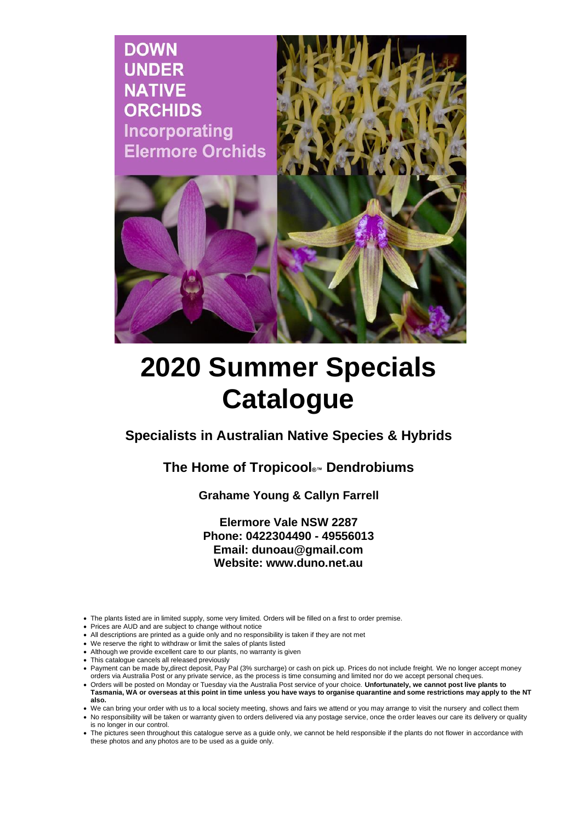

# **2020 Summer Specials Catalogue**

**Specialists in Australian Native Species & Hybrids**

**The Home of Tropicool®™ Dendrobiums**

**Grahame Young & Callyn Farrell**

**Elermore Vale NSW 2287 Phone: 0422304490 - 49556013 Email: dunoau@gmail.com Website: www.duno.net.au**

- The plants listed are in limited supply, some very limited. Orders will be filled on a first to order premise.
- Prices are AUD and are subject to change without notice
- All descriptions are printed as a guide only and no responsibility is taken if they are not met
- We reserve the right to withdraw or limit the sales of plants listed
- Although we provide excellent care to our plants, no warranty is given
- This catalogue cancels all released previously
- This calalogue cancele all released proficably<br>• Payment can be made by direct deposit, Pay Pal (3% surcharge) or cash on pick up. Prices do not include freight. We no longer accept money orders via Australia Post or any private service, as the process is time consuming and limited nor do we accept personal cheques.
- Orders will be posted on Monday or Tuesday via the Australia Post service of your choice. **Unfortunately, we cannot post live plants to Tasmania, WA or overseas at this point in time unless you have ways to organise quarantine and some restrictions may apply to the NT**
- **also.**
- We can bring your order with us to a local society meeting, shows and fairs we attend or you may arrange to visit the nursery and collect them
- No responsibility will be taken or warranty given to orders delivered via any postage service, once the order leaves our care its delivery or quality is no longer in our control.
- The pictures seen throughout this catalogue serve as a guide only, we cannot be held responsible if the plants do not flower in accordance with these photos and any photos are to be used as a guide only.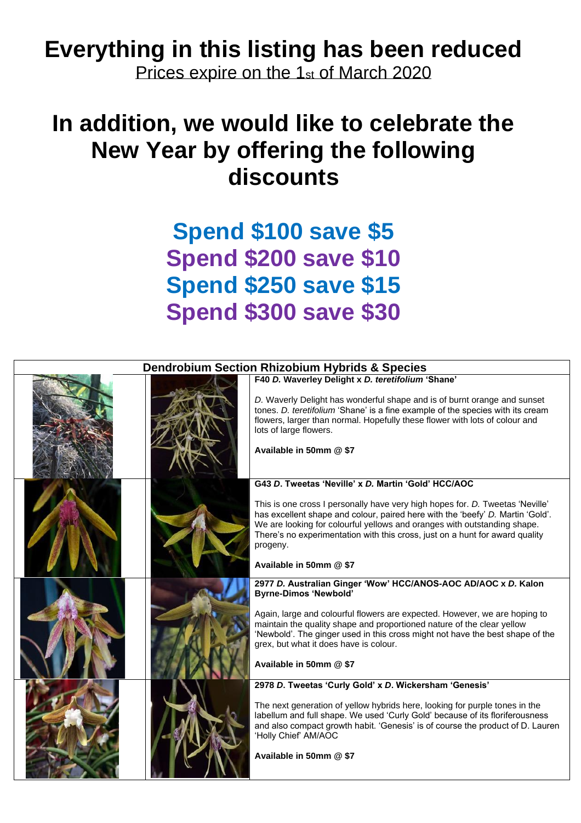#### **Everything in this listing has been reduced**

Prices expire on the 1st of March 2020

## **In addition, we would like to celebrate the New Year by offering the following discounts**

### **Spend \$100 save \$5 Spend \$200 save \$10 Spend \$250 save \$15 Spend \$300 save \$30**

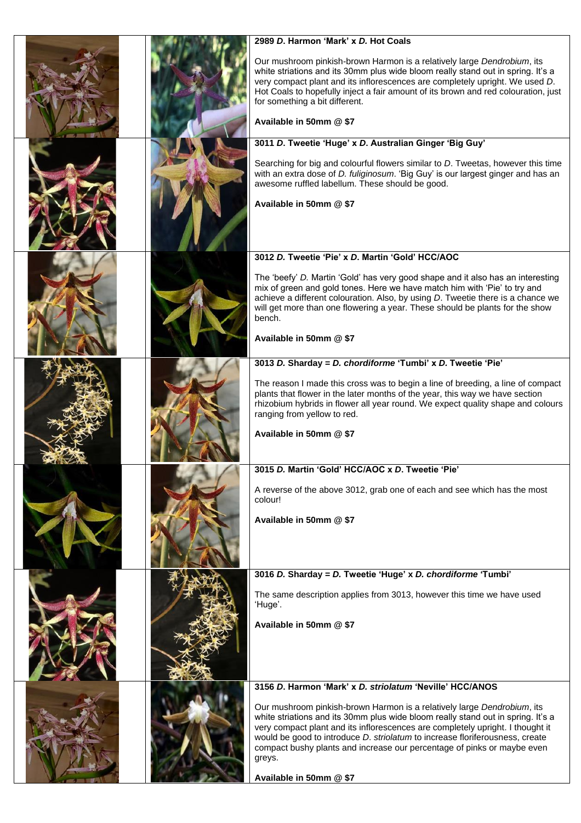|  | 2989 D. Harmon 'Mark' x D. Hot Coals                                                                                                                                                                                                                                                                                                                                                                               |
|--|--------------------------------------------------------------------------------------------------------------------------------------------------------------------------------------------------------------------------------------------------------------------------------------------------------------------------------------------------------------------------------------------------------------------|
|  | Our mushroom pinkish-brown Harmon is a relatively large Dendrobium, its<br>white striations and its 30mm plus wide bloom really stand out in spring. It's a<br>very compact plant and its inflorescences are completely upright. We used D.<br>Hot Coals to hopefully inject a fair amount of its brown and red colouration, just<br>for something a bit different.<br>Available in 50mm @ \$7                     |
|  | 3011 D. Tweetie 'Huge' x D. Australian Ginger 'Big Guy'                                                                                                                                                                                                                                                                                                                                                            |
|  | Searching for big and colourful flowers similar to D. Tweetas, however this time<br>with an extra dose of D. fuliginosum. 'Big Guy' is our largest ginger and has an<br>awesome ruffled labellum. These should be good.<br>Available in 50mm @ \$7                                                                                                                                                                 |
|  | 3012 D. Tweetie 'Pie' x D. Martin 'Gold' HCC/AOC                                                                                                                                                                                                                                                                                                                                                                   |
|  | The 'beefy' D. Martin 'Gold' has very good shape and it also has an interesting<br>mix of green and gold tones. Here we have match him with 'Pie' to try and<br>achieve a different colouration. Also, by using D. Tweetie there is a chance we<br>will get more than one flowering a year. These should be plants for the show<br>bench.<br>Available in 50mm @ \$7                                               |
|  | 3013 D. Sharday = D. chordiforme 'Tumbi' x D. Tweetie 'Pie'                                                                                                                                                                                                                                                                                                                                                        |
|  | The reason I made this cross was to begin a line of breeding, a line of compact<br>plants that flower in the later months of the year, this way we have section<br>rhizobium hybrids in flower all year round. We expect quality shape and colours<br>ranging from yellow to red.<br>Available in 50mm @ \$7                                                                                                       |
|  | 3015 D. Martin 'Gold' HCC/AOC x D. Tweetie 'Pie'                                                                                                                                                                                                                                                                                                                                                                   |
|  | A reverse of the above 3012, grab one of each and see which has the most<br>colour!<br>Available in 50mm @ \$7                                                                                                                                                                                                                                                                                                     |
|  | 3016 D. Sharday = D. Tweetie 'Huge' x D. chordiforme 'Tumbi'                                                                                                                                                                                                                                                                                                                                                       |
|  | The same description applies from 3013, however this time we have used<br>'Huge'.<br>Available in 50mm @ \$7                                                                                                                                                                                                                                                                                                       |
|  | 3156 D. Harmon 'Mark' x D. striolatum 'Neville' HCC/ANOS                                                                                                                                                                                                                                                                                                                                                           |
|  | Our mushroom pinkish-brown Harmon is a relatively large Dendrobium, its<br>white striations and its 30mm plus wide bloom really stand out in spring. It's a<br>very compact plant and its inflorescences are completely upright. I thought it<br>would be good to introduce D. striolatum to increase floriferousness, create<br>compact bushy plants and increase our percentage of pinks or maybe even<br>greys. |
|  | Available in 50mm @ \$7                                                                                                                                                                                                                                                                                                                                                                                            |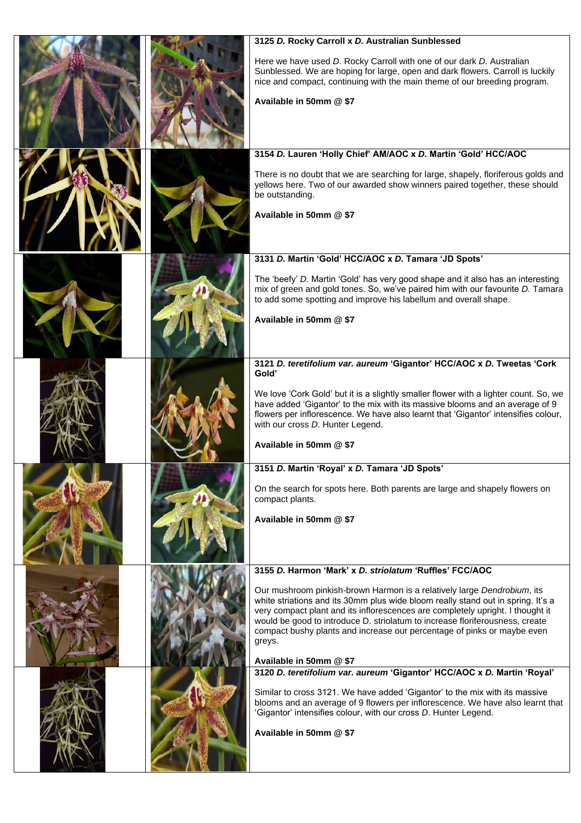|  | 3125 D. Rocky Carroll x D. Australian Sunblessed                                                                                                                                                                                                                                                                                                                                                                                              |
|--|-----------------------------------------------------------------------------------------------------------------------------------------------------------------------------------------------------------------------------------------------------------------------------------------------------------------------------------------------------------------------------------------------------------------------------------------------|
|  | Here we have used D. Rocky Carroll with one of our dark D. Australian<br>Sunblessed. We are hoping for large, open and dark flowers. Carroll is luckily<br>nice and compact, continuing with the main theme of our breeding program.<br>Available in 50mm @ \$7                                                                                                                                                                               |
|  |                                                                                                                                                                                                                                                                                                                                                                                                                                               |
|  | 3154 D. Lauren 'Holly Chief' AM/AOC x D. Martin 'Gold' HCC/AOC                                                                                                                                                                                                                                                                                                                                                                                |
|  | There is no doubt that we are searching for large, shapely, floriferous golds and<br>yellows here. Two of our awarded show winners paired together, these should<br>be outstanding.                                                                                                                                                                                                                                                           |
|  | Available in 50mm @ \$7                                                                                                                                                                                                                                                                                                                                                                                                                       |
|  | 3131 D. Martin 'Gold' HCC/AOC x D. Tamara 'JD Spots'                                                                                                                                                                                                                                                                                                                                                                                          |
|  | The 'beefy' D. Martin 'Gold' has very good shape and it also has an interesting<br>mix of green and gold tones. So, we've paired him with our favourite D. Tamara<br>to add some spotting and improve his labellum and overall shape.                                                                                                                                                                                                         |
|  | Available in 50mm @ \$7                                                                                                                                                                                                                                                                                                                                                                                                                       |
|  | 3121 D. teretifolium var. aureum 'Gigantor' HCC/AOC x D. Tweetas 'Cork<br>Gold'                                                                                                                                                                                                                                                                                                                                                               |
|  | We love 'Cork Gold' but it is a slightly smaller flower with a lighter count. So, we<br>have added 'Gigantor' to the mix with its massive blooms and an average of 9<br>flowers per inflorescence. We have also learnt that 'Gigantor' intensifies colour,<br>with our cross D. Hunter Legend.                                                                                                                                                |
|  | Available in 50mm @ \$7                                                                                                                                                                                                                                                                                                                                                                                                                       |
|  | 3151 D. Martin 'Royal' x D. Tamara 'JD Spots'                                                                                                                                                                                                                                                                                                                                                                                                 |
|  | On the search for spots here. Both parents are large and shapely flowers on<br>compact plants.                                                                                                                                                                                                                                                                                                                                                |
|  | Available in 50mm @ \$7                                                                                                                                                                                                                                                                                                                                                                                                                       |
|  | 3155 D. Harmon 'Mark' x D. striolatum 'Ruffles' FCC/AOC                                                                                                                                                                                                                                                                                                                                                                                       |
|  | Our mushroom pinkish-brown Harmon is a relatively large Dendrobium, its<br>white striations and its 30mm plus wide bloom really stand out in spring. It's a<br>very compact plant and its inflorescences are completely upright. I thought it<br>would be good to introduce D. striolatum to increase floriferousness, create<br>compact bushy plants and increase our percentage of pinks or maybe even<br>greys.<br>Available in 50mm @ \$7 |
|  | 3120 D. teretifolium var. aureum 'Gigantor' HCC/AOC x D. Martin 'Royal'                                                                                                                                                                                                                                                                                                                                                                       |
|  | Similar to cross 3121. We have added 'Gigantor' to the mix with its massive<br>blooms and an average of 9 flowers per inflorescence. We have also learnt that<br>'Gigantor' intensifies colour, with our cross D. Hunter Legend.                                                                                                                                                                                                              |
|  | Available in 50mm @ \$7                                                                                                                                                                                                                                                                                                                                                                                                                       |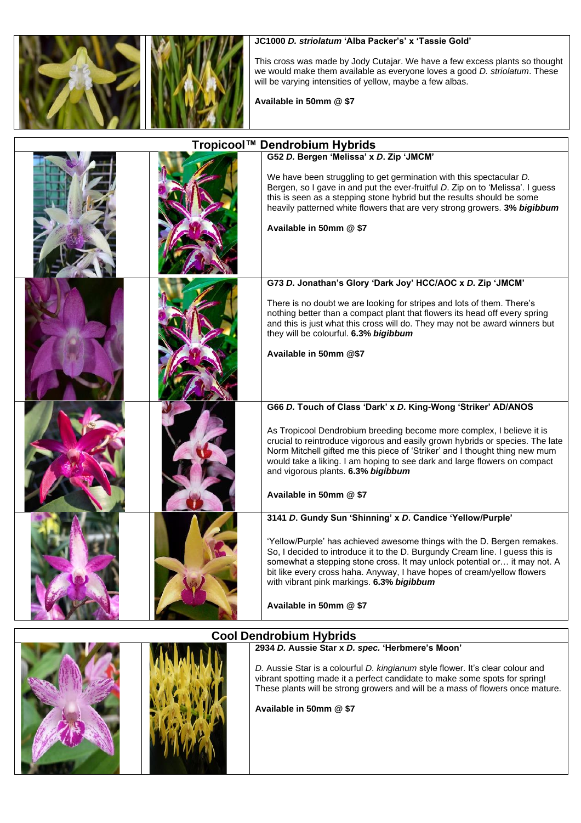



**JC1000** *D. striolatum* **'Alba Packer's' x 'Tassie Gold'**

This cross was made by Jody Cutajar. We have a few excess plants so thought we would make them available as everyone loves a good *D. striolatum*. These will be varying intensities of yellow, maybe a few albas.

**Available in 50mm @ \$7**

| Tropicool™ Dendrobium Hybrids |  |                                                                                                                                                                                                                                                                                                                                                                                                                                                      |
|-------------------------------|--|------------------------------------------------------------------------------------------------------------------------------------------------------------------------------------------------------------------------------------------------------------------------------------------------------------------------------------------------------------------------------------------------------------------------------------------------------|
|                               |  | G52 D. Bergen 'Melissa' x D. Zip 'JMCM'<br>We have been struggling to get germination with this spectacular D.<br>Bergen, so I gave in and put the ever-fruitful D. Zip on to 'Melissa'. I guess<br>this is seen as a stepping stone hybrid but the results should be some<br>heavily patterned white flowers that are very strong growers. 3% bigibbum<br>Available in 50mm @ \$7                                                                   |
|                               |  | G73 D. Jonathan's Glory 'Dark Joy' HCC/AOC x D. Zip 'JMCM'<br>There is no doubt we are looking for stripes and lots of them. There's<br>nothing better than a compact plant that flowers its head off every spring<br>and this is just what this cross will do. They may not be award winners but<br>they will be colourful. 6.3% bigibbum<br>Available in 50mm @\$7                                                                                 |
|                               |  | G66 D. Touch of Class 'Dark' x D. King-Wong 'Striker' AD/ANOS<br>As Tropicool Dendrobium breeding become more complex, I believe it is<br>crucial to reintroduce vigorous and easily grown hybrids or species. The late<br>Norm Mitchell gifted me this piece of 'Striker' and I thought thing new mum<br>would take a liking. I am hoping to see dark and large flowers on compact<br>and vigorous plants. 6.3% bigibbum<br>Available in 50mm @ \$7 |
|                               |  | 3141 D. Gundy Sun 'Shinning' x D. Candice 'Yellow/Purple'<br>'Yellow/Purple' has achieved awesome things with the D. Bergen remakes.<br>So, I decided to introduce it to the D. Burgundy Cream line. I guess this is<br>somewhat a stepping stone cross. It may unlock potential or it may not. A<br>bit like every cross haha. Anyway, I have hopes of cream/yellow flowers<br>with vibrant pink markings. 6.3% bigibbum<br>Available in 50mm @ \$7 |





#### **Cool Dendrobium Hybrids**

**2934** *D.* **Aussie Star x** *D. spec.* **'Herbmere's Moon'**

*D.* Aussie Star is a colourful *D. kingianum* style flower. It's clear colour and vibrant spotting made it a perfect candidate to make some spots for spring! These plants will be strong growers and will be a mass of flowers once mature.

**Available in 50mm @ \$7**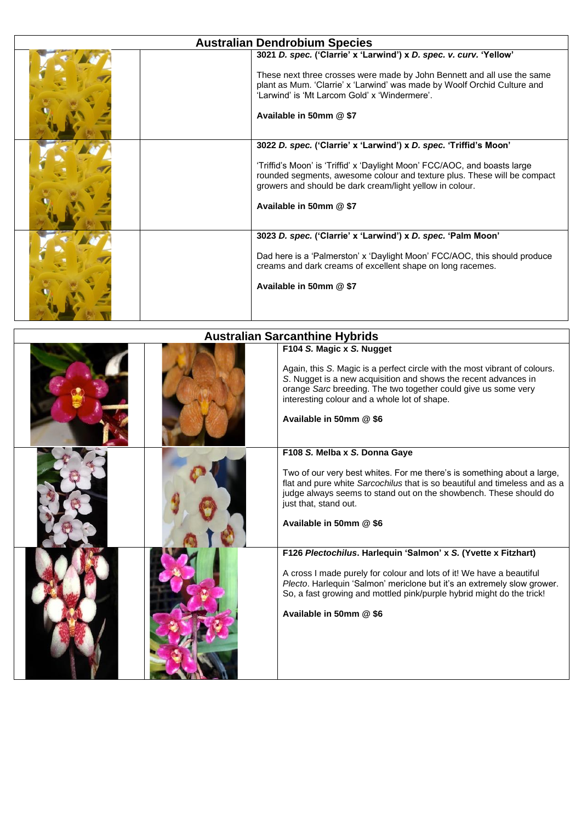| <b>Australian Dendrobium Species</b> |                                                                                                                                                                                                                                                                                                                   |  |
|--------------------------------------|-------------------------------------------------------------------------------------------------------------------------------------------------------------------------------------------------------------------------------------------------------------------------------------------------------------------|--|
|                                      | 3021 D. spec. ('Clarrie' x 'Larwind') x D. spec. v. curv. 'Yellow'<br>These next three crosses were made by John Bennett and all use the same<br>plant as Mum. 'Clarrie' x 'Larwind' was made by Woolf Orchid Culture and<br>'I arwind' is 'Mt I arcom Gold' x 'Windermere'.<br>Available in 50mm @ \$7           |  |
|                                      | 3022 D. spec. ('Clarrie' x 'Larwind') x D. spec. 'Triffid's Moon'<br>'Triffid's Moon' is 'Triffid' x 'Daylight Moon' FCC/AOC, and boasts large<br>rounded segments, awesome colour and texture plus. These will be compact<br>growers and should be dark cream/light yellow in colour.<br>Available in 50mm @ \$7 |  |
|                                      | 3023 D. spec. ('Clarrie' x 'Larwind') x D. spec. 'Palm Moon'<br>Dad here is a 'Palmerston' x 'Daylight Moon' FCC/AOC, this should produce<br>creams and dark creams of excellent shape on long racemes.<br>Available in 50mm @ \$7                                                                                |  |

| <b>Australian Sarcanthine Hybrids</b> |                                                                                                                                                                                                                                                                                                                         |  |
|---------------------------------------|-------------------------------------------------------------------------------------------------------------------------------------------------------------------------------------------------------------------------------------------------------------------------------------------------------------------------|--|
|                                       | F104 S. Magic x S. Nugget<br>Again, this S. Magic is a perfect circle with the most vibrant of colours.<br>S. Nugget is a new acquisition and shows the recent advances in<br>orange Sarc breeding. The two together could give us some very<br>interesting colour and a whole lot of shape.<br>Available in 50mm @ \$6 |  |
|                                       | F108 S. Melba x S. Donna Gaye<br>Two of our very best whites. For me there's is something about a large,<br>flat and pure white Sarcochilus that is so beautiful and timeless and as a<br>judge always seems to stand out on the showbench. These should do<br>just that, stand out.<br>Available in 50mm @ \$6         |  |
|                                       | F126 Plectochilus. Harlequin 'Salmon' x S. (Yvette x Fitzhart)<br>A cross I made purely for colour and lots of it! We have a beautiful<br>Plecto. Harlequin 'Salmon' mericlone but it's an extremely slow grower.<br>So, a fast growing and mottled pink/purple hybrid might do the trick!<br>Available in 50mm @ \$6   |  |